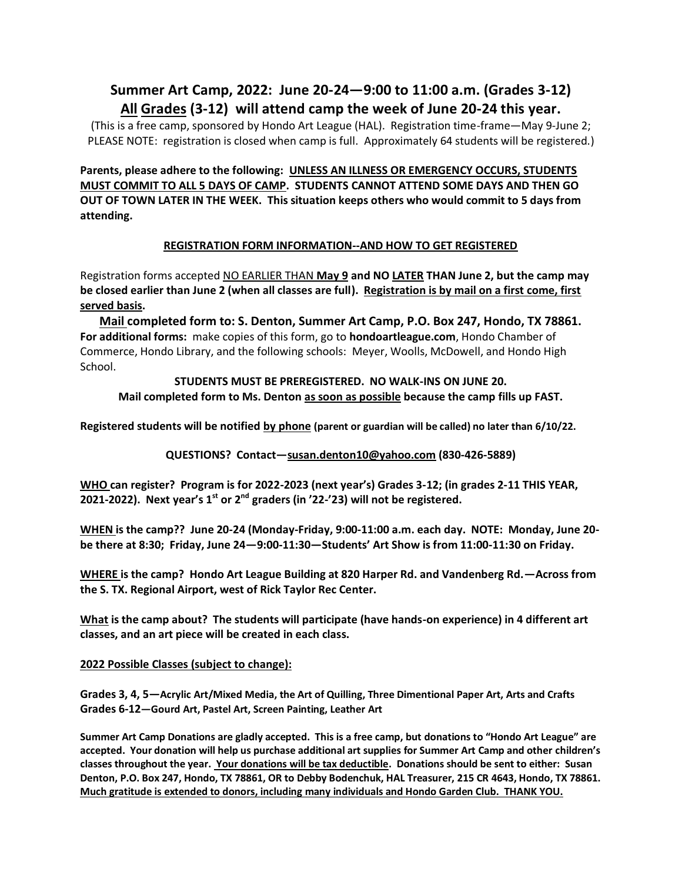# **Summer Art Camp, 2022: June 20-24—9:00 to 11:00 a.m. (Grades 3-12) All Grades (3-12) will attend camp the week of June 20-24 this year.**

(This is a free camp, sponsored by Hondo Art League (HAL). Registration time-frame—May 9-June 2; PLEASE NOTE: registration is closed when camp is full. Approximately 64 students will be registered.)

**Parents, please adhere to the following: UNLESS AN ILLNESS OR EMERGENCY OCCURS, STUDENTS MUST COMMIT TO ALL 5 DAYS OF CAMP. STUDENTS CANNOT ATTEND SOME DAYS AND THEN GO OUT OF TOWN LATER IN THE WEEK. This situation keeps others who would commit to 5 days from attending.** 

### **REGISTRATION FORM INFORMATION--AND HOW TO GET REGISTERED**

Registration forms accepted NO EARLIER THAN **May 9 and NO LATER THAN June 2, but the camp may be closed earlier than June 2 (when all classes are full). Registration is by mail on a first come, first served basis.** 

**Mail completed form to: S. Denton, Summer Art Camp, P.O. Box 247, Hondo, TX 78861. For additional forms:** make copies of this form, go to **hondoartleague.com**, Hondo Chamber of Commerce, Hondo Library, and the following schools: Meyer, Woolls, McDowell, and Hondo High School.

# **STUDENTS MUST BE PREREGISTERED. NO WALK-INS ON JUNE 20. Mail completed form to Ms. Denton as soon as possible because the camp fills up FAST.**

**Registered students will be notified by phone (parent or guardian will be called) no later than 6/10/22.** 

**QUESTIONS? Contact—[susan.denton10@yahoo.com](mailto:Contact—susan.denton10@yahoo.com) (830-426-5889)**

**WHO can register? Program is for 2022-2023 (next year's) Grades 3-12; (in grades 2-11 THIS YEAR, 2021-2022). Next year's 1st or 2nd graders (in '22-'23) will not be registered.**

**WHEN is the camp?? June 20-24 (Monday-Friday, 9:00-11:00 a.m. each day. NOTE: Monday, June 20 be there at 8:30; Friday, June 24—9:00-11:30—Students' Art Show is from 11:00-11:30 on Friday.**

**WHERE is the camp? Hondo Art League Building at 820 Harper Rd. and Vandenberg Rd.—Across from the S. TX. Regional Airport, west of Rick Taylor Rec Center.**

**What is the camp about? The students will participate (have hands-on experience) in 4 different art classes, and an art piece will be created in each class.**

#### **2022 Possible Classes (subject to change):**

**Grades 3, 4, 5—Acrylic Art/Mixed Media, the Art of Quilling, Three Dimentional Paper Art, Arts and Crafts Grades 6-12—Gourd Art, Pastel Art, Screen Painting, Leather Art**

**Summer Art Camp Donations are gladly accepted. This is a free camp, but donations to "Hondo Art League" are accepted. Your donation will help us purchase additional art supplies for Summer Art Camp and other children's classes throughout the year. Your donations will be tax deductible. Donations should be sent to either: Susan Denton, P.O. Box 247, Hondo, TX 78861, OR to Debby Bodenchuk, HAL Treasurer, 215 CR 4643, Hondo, TX 78861. Much gratitude is extended to donors, including many individuals and Hondo Garden Club. THANK YOU.**